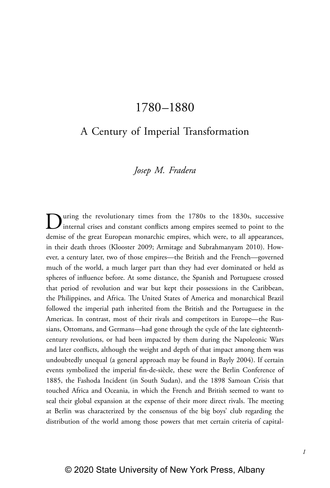## 1780–1880

## A Century of Imperial Transformation

## *Josep M. Fradera*

**During the revolutionary times from the 1780s to the 1830s, successive** internal crises and constant conflicts among empires seemed to point to the demise of the great European monarchic empires, which were, to all appearances, in their death throes (Klooster 2009; Armitage and Subrahmanyam 2010). However, a century later, two of those empires—the British and the French—governed much of the world, a much larger part than they had ever dominated or held as spheres of influence before. At some distance, the Spanish and Portuguese crossed that period of revolution and war but kept their possessions in the Caribbean, the Philippines, and Africa. The United States of America and monarchical Brazil followed the imperial path inherited from the British and the Portuguese in the Americas. In contrast, most of their rivals and competitors in Europe—the Russians, Ottomans, and Germans—had gone through the cycle of the late eighteenthcentury revolutions, or had been impacted by them during the Napoleonic Wars and later conflicts, although the weight and depth of that impact among them was undoubtedly unequal (a general approach may be found in Bayly 2004). If certain events symbolized the imperial fin-de-siècle, these were the Berlin Conference of 1885, the Fashoda Incident (in South Sudan), and the 1898 Samoan Crisis that touched Africa and Oceania, in which the French and British seemed to want to seal their global expansion at the expense of their more direct rivals. The meeting at Berlin was characterized by the consensus of the big boys' club regarding the distribution of the world among those powers that met certain criteria of capital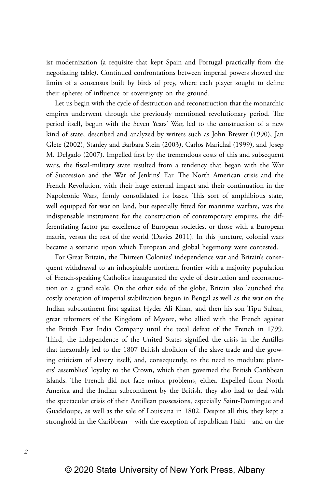ist modernization (a requisite that kept Spain and Portugal practically from the negotiating table). Continued confrontations between imperial powers showed the limits of a consensus built by birds of prey, where each player sought to define their spheres of influence or sovereignty on the ground.

Let us begin with the cycle of destruction and reconstruction that the monarchic empires underwent through the previously mentioned revolutionary period. The period itself, begun with the Seven Years' War, led to the construction of a new kind of state, described and analyzed by writers such as John Brewer (1990), Jan Glete (2002), Stanley and Barbara Stein (2003), Carlos Marichal (1999), and Josep M. Delgado (2007). Impelled first by the tremendous costs of this and subsequent wars, the fiscal-military state resulted from a tendency that began with the War of Succession and the War of Jenkins' Ear. The North American crisis and the French Revolution, with their huge external impact and their continuation in the Napoleonic Wars, firmly consolidated its bases. This sort of amphibious state, well equipped for war on land, but especially fitted for maritime warfare, was the indispensable instrument for the construction of contemporary empires, the differentiating factor par excellence of European societies, or those with a European matrix, versus the rest of the world (Davies 2011). In this juncture, colonial wars became a scenario upon which European and global hegemony were contested.

For Great Britain, the Thirteen Colonies' independence war and Britain's consequent withdrawal to an inhospitable northern frontier with a majority population of French-speaking Catholics inaugurated the cycle of destruction and reconstruction on a grand scale. On the other side of the globe, Britain also launched the costly operation of imperial stabilization begun in Bengal as well as the war on the Indian subcontinent first against Hyder Ali Khan, and then his son Tipu Sultan, great reformers of the Kingdom of Mysore, who allied with the French against the British East India Company until the total defeat of the French in 1799. Third, the independence of the United States signified the crisis in the Antilles that inexorably led to the 1807 British abolition of the slave trade and the growing criticism of slavery itself, and, consequently, to the need to modulate planters' assemblies' loyalty to the Crown, which then governed the British Caribbean islands. The French did not face minor problems, either. Expelled from North America and the Indian subcontinent by the British, they also had to deal with the spectacular crisis of their Antillean possessions, especially Saint-Domingue and Guadeloupe, as well as the sale of Louisiana in 1802. Despite all this, they kept a stronghold in the Caribbean—with the exception of republican Haiti—and on the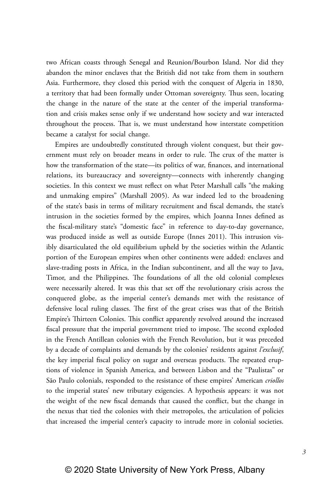two African coasts through Senegal and Reunion/Bourbon Island. Nor did they abandon the minor enclaves that the British did not take from them in southern Asia. Furthermore, they closed this period with the conquest of Algeria in 1830, a territory that had been formally under Ottoman sovereignty. Thus seen, locating the change in the nature of the state at the center of the imperial transformation and crisis makes sense only if we understand how society and war interacted throughout the process. That is, we must understand how interstate competition became a catalyst for social change.

Empires are undoubtedly constituted through violent conquest, but their government must rely on broader means in order to rule. The crux of the matter is how the transformation of the state—its politics of war, finances, and international relations, its bureaucracy and sovereignty—connects with inherently changing societies. In this context we must reflect on what Peter Marshall calls "the making and unmaking empires" (Marshall 2005). As war indeed led to the broadening of the state's basis in terms of military recruitment and fiscal demands, the state's intrusion in the societies formed by the empires, which Joanna Innes defined as the fiscal-military state's "domestic face" in reference to day-to-day governance, was produced inside as well as outside Europe (Innes 2011). This intrusion visibly disarticulated the old equilibrium upheld by the societies within the Atlantic portion of the European empires when other continents were added: enclaves and slave-trading posts in Africa, in the Indian subcontinent, and all the way to Java, Timor, and the Philippines. The foundations of all the old colonial complexes were necessarily altered. It was this that set off the revolutionary crisis across the conquered globe, as the imperial center's demands met with the resistance of defensive local ruling classes. The first of the great crises was that of the British Empire's Thirteen Colonies. This conflict apparently revolved around the increased fiscal pressure that the imperial government tried to impose. The second exploded in the French Antillean colonies with the French Revolution, but it was preceded by a decade of complaints and demands by the colonies' residents against *l'exclusif*, the key imperial fiscal policy on sugar and overseas products. The repeated eruptions of violence in Spanish America, and between Lisbon and the "Paulistas" or São Paulo colonials, responded to the resistance of these empires' American *criollos* to the imperial states' new tributary exigencies. A hypothesis appears: it was not the weight of the new fiscal demands that caused the conflict, but the change in the nexus that tied the colonies with their metropoles, the articulation of policies that increased the imperial center's capacity to intrude more in colonial societies.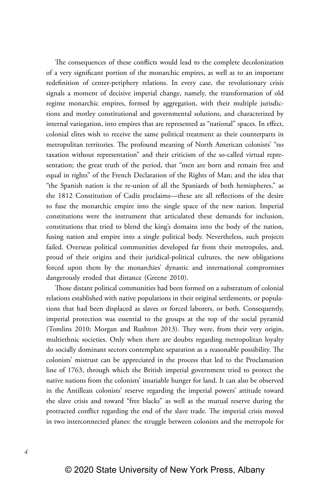The consequences of these conflicts would lead to the complete decolonization of a very significant portion of the monarchic empires, as well as to an important redefinition of center-periphery relations. In every case, the revolutionary crisis signals a moment of decisive imperial change, namely, the transformation of old regime monarchic empires, formed by aggregation, with their multiple jurisdictions and motley constitutional and governmental solutions, and characterized by internal variegation, into empires that are represented as "national" spaces. In effect, colonial elites wish to receive the same political treatment as their counterparts in metropolitan territories. The profound meaning of North American colonists' "no taxation without representation" and their criticism of the so-called virtual representation; the great truth of the period, that "men are born and remain free and equal in rights" of the French Declaration of the Rights of Man; and the idea that "the Spanish nation is the re-union of all the Spaniards of both hemispheres," as the 1812 Constitution of Cadiz proclaims—these are all reflections of the desire to fuse the monarchic empire into the single space of the new nation. Imperial constitutions were the instrument that articulated these demands for inclusion, constitutions that tried to blend the king's domains into the body of the nation, fusing nation and empire into a single political body. Nevertheless, such projects failed. Overseas political communities developed far from their metropoles, and, proud of their origins and their juridical-political cultures, the new obligations forced upon them by the monarchies' dynastic and international compromises dangerously eroded that distance (Greene 2010).

Those distant political communities had been formed on a substratum of colonial relations established with native populations in their original settlements, or populations that had been displaced as slaves or forced laborers, or both. Consequently, imperial protection was essential to the groups at the top of the social pyramid (Tomlins 2010; Morgan and Rushton 2013). They were, from their very origin, multiethnic societies. Only when there are doubts regarding metropolitan loyalty do socially dominant sectors contemplate separation as a reasonable possibility. The colonists' mistrust can be appreciated in the process that led to the Proclamation line of 1763, through which the British imperial government tried to protect the native nations from the colonists' insatiable hunger for land. It can also be observed in the Antillean colonists' reserve regarding the imperial powers' attitude toward the slave crisis and toward "free blacks" as well as the mutual reserve during the protracted conflict regarding the end of the slave trade. The imperial crisis moved in two interconnected planes: the struggle between colonists and the metropole for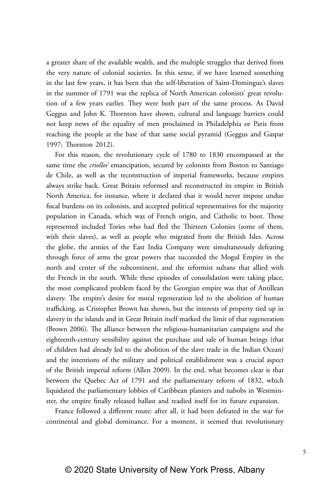a greater share of the available wealth, and the multiple struggles that derived from the very nature of colonial societies. In this sense, if we have learned something in the last few years, it has been that the self-liberation of Saint-Domingue's slaves in the summer of 1791 was the replica of North American colonists' great revolution of a few years earlier. They were both part of the same process. As David Geggus and John K. Thornton have shown, cultural and language barriers could not keep news of the equality of men proclaimed in Philadelphia or Paris from reaching the people at the base of that same social pyramid (Geggus and Gaspar 1997; Thornton 2012).

For this reason, the revolutionary cycle of 1780 to 1830 encompassed at the same time the *criollos'* emancipation, secured by colonists from Boston to Santiago de Chile, as well as the reconstruction of imperial frameworks, because empires always strike back. Great Britain reformed and reconstructed its empire in British North America, for instance, where it declared that it would never impose undue fiscal burdens on its colonists, and accepted political representatives for the majority population in Canada, which was of French origin, and Catholic to boot. Those represented included Tories who had fled the Thirteen Colonies (some of them, with their slaves), as well as people who migrated from the British Isles. Across the globe, the armies of the East India Company were simultaneously defeating through force of arms the great powers that succeeded the Mogul Empire in the north and center of the subcontinent, and the reformist sultans that allied with the French in the south. While these episodes of consolidation were taking place, the most complicated problem faced by the Georgian empire was that of Antillean slavery. The empire's desire for moral regeneration led to the abolition of human trafficking, as Cristopher Brown has shown, but the interests of property tied up in slavery in the islands and in Great Britain itself marked the limit of that regeneration (Brown 2006). The alliance between the religious-humanitarian campaigns and the eighteenth-century sensibility against the purchase and sale of human beings (that of children had already led to the abolition of the slave trade in the Indian Ocean) and the intentions of the military and political establishment was a crucial aspect of the British imperial reform (Allen 2009). In the end, what becomes clear is that between the Quebec Act of 1791 and the parliamentary reform of 1832, which liquidated the parliamentary lobbies of Caribbean planters and nabobs in Westminster, the empire finally released ballast and readied itself for its future expansion.

France followed a different route: after all, it had been defeated in the war for continental and global dominance. For a moment, it seemed that revolutionary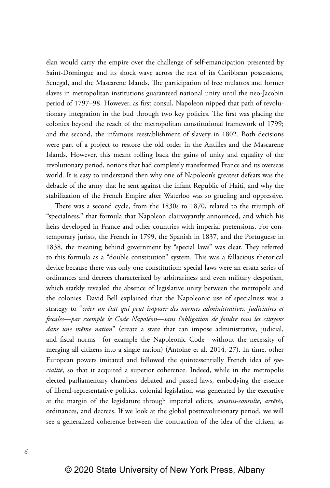élan would carry the empire over the challenge of self-emancipation presented by Saint-Domingue and its shock wave across the rest of its Caribbean possessions, Senegal, and the Mascarene Islands. The participation of free mulattos and former slaves in metropolitan institutions guaranteed national unity until the neo-Jacobin period of 1797–98. However, as first consul, Napoleon nipped that path of revolutionary integration in the bud through two key policies. The first was placing the colonies beyond the reach of the metropolitan constitutional framework of 1799; and the second, the infamous reestablishment of slavery in 1802. Both decisions were part of a project to restore the old order in the Antilles and the Mascarene Islands. However, this meant rolling back the gains of unity and equality of the revolutionary period, notions that had completely transformed France and its overseas world. It is easy to understand then why one of Napoleon's greatest defeats was the debacle of the army that he sent against the infant Republic of Haiti, and why the stabilization of the French Empire after Waterloo was so grueling and oppressive.

There was a second cycle, from the 1830s to 1870, related to the triumph of "specialness," that formula that Napoleon clairvoyantly announced, and which his heirs developed in France and other countries with imperial pretensions. For contemporary jurists, the French in 1799, the Spanish in 1837, and the Portuguese in 1838, the meaning behind government by "special laws" was clear. They referred to this formula as a "double constitution" system. This was a fallacious rhetorical device because there was only one constitution: special laws were an ersatz series of ordinances and decrees characterized by arbitrariness and even military despotism, which starkly revealed the absence of legislative unity between the metropole and the colonies. David Bell explained that the Napoleonic use of specialness was a strategy to "*créer un état qui peut imposer des normes administratives, judiciaires et fiscales*—*par exemple le Code Napoléon*—*sans l'obligation de fondre tous les citoyens dans une même nation*" (create a state that can impose administrative, judicial, and fiscal norms—for example the Napoleonic Code—without the necessity of merging all citizens into a single nation) (Antoine et al. 2014, 27). In time, other European powers imitated and followed the quintessentially French idea of *specialité*, so that it acquired a superior coherence. Indeed, while in the metropolis elected parliamentary chambers debated and passed laws, embodying the essence of liberal-representative politics, colonial legislation was generated by the executive at the margin of the legislature through imperial edicts, *senatus-consulte*, *arrêtés,*  ordinances, and decrees. If we look at the global postrevolutionary period, we will see a generalized coherence between the contraction of the idea of the citizen, as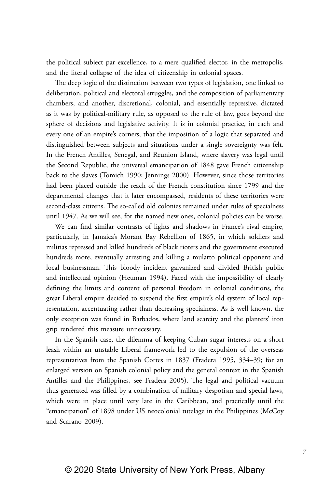the political subject par excellence, to a mere qualified elector, in the metropolis, and the literal collapse of the idea of citizenship in colonial spaces.

The deep logic of the distinction between two types of legislation, one linked to deliberation, political and electoral struggles, and the composition of parliamentary chambers, and another, discretional, colonial, and essentially repressive, dictated as it was by political-military rule, as opposed to the rule of law, goes beyond the sphere of decisions and legislative activity. It is in colonial practice, in each and every one of an empire's corners, that the imposition of a logic that separated and distinguished between subjects and situations under a single sovereignty was felt. In the French Antilles, Senegal, and Reunion Island, where slavery was legal until the Second Republic, the universal emancipation of 1848 gave French citizenship back to the slaves (Tomich 1990; Jennings 2000). However, since those territories had been placed outside the reach of the French constitution since 1799 and the departmental changes that it later encompassed, residents of these territories were second-class citizens. The so-called old colonies remained under rules of specialness until 1947. As we will see, for the named new ones, colonial policies can be worse.

We can find similar contrasts of lights and shadows in France's rival empire, particularly, in Jamaica's Morant Bay Rebellion of 1865, in which soldiers and militias repressed and killed hundreds of black rioters and the government executed hundreds more, eventually arresting and killing a mulatto political opponent and local businessman. This bloody incident galvanized and divided British public and intellectual opinion (Heuman 1994). Faced with the impossibility of clearly defining the limits and content of personal freedom in colonial conditions, the great Liberal empire decided to suspend the first empire's old system of local representation, accentuating rather than decreasing specialness. As is well known, the only exception was found in Barbados, where land scarcity and the planters' iron grip rendered this measure unnecessary.

In the Spanish case, the dilemma of keeping Cuban sugar interests on a short leash within an unstable Liberal framework led to the expulsion of the overseas representatives from the Spanish Cortes in 1837 (Fradera 1995, 334–39; for an enlarged version on Spanish colonial policy and the general context in the Spanish Antilles and the Philippines, see Fradera 2005). The legal and political vacuum thus generated was filled by a combination of military despotism and special laws, which were in place until very late in the Caribbean, and practically until the "emancipation" of 1898 under US neocolonial tutelage in the Philippines (McCoy and Scarano 2009).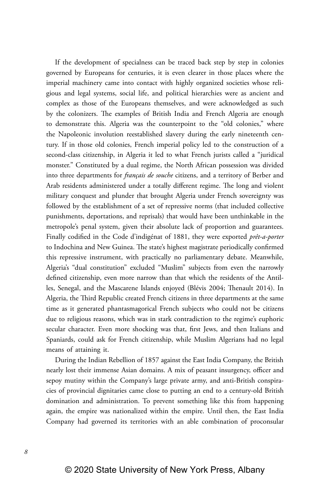If the development of specialness can be traced back step by step in colonies governed by Europeans for centuries, it is even clearer in those places where the imperial machinery came into contact with highly organized societies whose religious and legal systems, social life, and political hierarchies were as ancient and complex as those of the Europeans themselves, and were acknowledged as such by the colonizers. The examples of British India and French Algeria are enough to demonstrate this. Algeria was the counterpoint to the "old colonies," where the Napoleonic involution reestablished slavery during the early nineteenth century. If in those old colonies, French imperial policy led to the construction of a second-class citizenship, in Algeria it led to what French jurists called a "juridical monster." Constituted by a dual regime, the North African possession was divided into three departments for *français de souche* citizens, and a territory of Berber and Arab residents administered under a totally different regime. The long and violent military conquest and plunder that brought Algeria under French sovereignty was followed by the establishment of a set of repressive norms (that included collective punishments, deportations, and reprisals) that would have been unthinkable in the metropole's penal system, given their absolute lack of proportion and guarantees. Finally codified in the Code d'indigénat of 1881, they were exported *prêt-a-porter* to Indochina and New Guinea. The state's highest magistrate periodically confirmed this repressive instrument, with practically no parliamentary debate. Meanwhile, Algeria's "dual constitution" excluded "Muslim" subjects from even the narrowly defined citizenship, even more narrow than that which the residents of the Antilles, Senegal, and the Mascarene Islands enjoyed (Blévis 2004; Thenault 2014). In Algeria, the Third Republic created French citizens in three departments at the same time as it generated phantasmagorical French subjects who could not be citizens due to religious reasons, which was in stark contradiction to the regime's euphoric secular character. Even more shocking was that, first Jews, and then Italians and Spaniards, could ask for French citizenship, while Muslim Algerians had no legal means of attaining it.

During the Indian Rebellion of 1857 against the East India Company, the British nearly lost their immense Asian domains. A mix of peasant insurgency, officer and sepoy mutiny within the Company's large private army, and anti-British conspiracies of provincial dignitaries came close to putting an end to a century-old British domination and administration. To prevent something like this from happening again, the empire was nationalized within the empire. Until then, the East India Company had governed its territories with an able combination of proconsular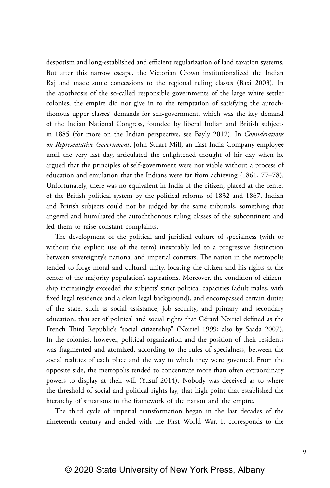despotism and long-established and efficient regularization of land taxation systems. But after this narrow escape, the Victorian Crown institutionalized the Indian Raj and made some concessions to the regional ruling classes (Baxi 2003). In the apotheosis of the so-called responsible governments of the large white settler colonies, the empire did not give in to the temptation of satisfying the autochthonous upper classes' demands for self-government, which was the key demand of the Indian National Congress, founded by liberal Indian and British subjects in 1885 (for more on the Indian perspective, see Bayly 2012). In *Considerations on Representative Government*, John Stuart Mill, an East India Company employee until the very last day, articulated the enlightened thought of his day when he argued that the principles of self-government were not viable without a process of education and emulation that the Indians were far from achieving (1861, 77–78). Unfortunately, there was no equivalent in India of the citizen, placed at the center of the British political system by the political reforms of 1832 and 1867. Indian and British subjects could not be judged by the same tribunals, something that angered and humiliated the autochthonous ruling classes of the subcontinent and led them to raise constant complaints.

The development of the political and juridical culture of specialness (with or without the explicit use of the term) inexorably led to a progressive distinction between sovereignty's national and imperial contexts. The nation in the metropolis tended to forge moral and cultural unity, locating the citizen and his rights at the center of the majority population's aspirations. Moreover, the condition of citizenship increasingly exceeded the subjects' strict political capacities (adult males, with fixed legal residence and a clean legal background), and encompassed certain duties of the state, such as social assistance, job security, and primary and secondary education, that set of political and social rights that Gérard Noiriel defined as the French Third Republic's "social citizenship" (Noiriel 1999; also by Saada 2007). In the colonies, however, political organization and the position of their residents was fragmented and atomized, according to the rules of specialness, between the social realities of each place and the way in which they were governed. From the opposite side, the metropolis tended to concentrate more than often extraordinary powers to display at their will (Yusuf 2014). Nobody was deceived as to where the threshold of social and political rights lay, that high point that established the hierarchy of situations in the framework of the nation and the empire.

The third cycle of imperial transformation began in the last decades of the nineteenth century and ended with the First World War. It corresponds to the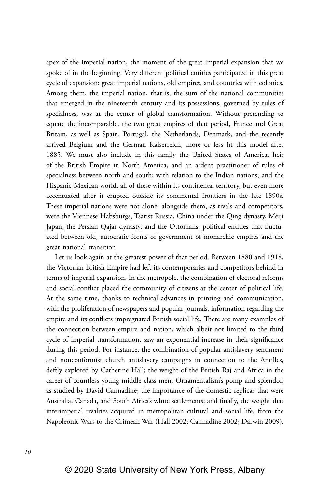apex of the imperial nation, the moment of the great imperial expansion that we spoke of in the beginning. Very different political entities participated in this great cycle of expansion: great imperial nations, old empires, and countries with colonies. Among them, the imperial nation, that is, the sum of the national communities that emerged in the nineteenth century and its possessions, governed by rules of specialness, was at the center of global transformation. Without pretending to equate the incomparable, the two great empires of that period, France and Great Britain, as well as Spain, Portugal, the Netherlands, Denmark, and the recently arrived Belgium and the German Kaiserreich, more or less fit this model after 1885. We must also include in this family the United States of America, heir of the British Empire in North America, and an ardent practitioner of rules of specialness between north and south; with relation to the Indian nations; and the Hispanic-Mexican world, all of these within its continental territory, but even more accentuated after it erupted outside its continental frontiers in the late 1890s. These imperial nations were not alone: alongside them, as rivals and competitors, were the Viennese Habsburgs, Tsarist Russia, China under the Qing dynasty, Meiji Japan, the Persian Qajar dynasty, and the Ottomans, political entities that fluctuated between old, autocratic forms of government of monarchic empires and the great national transition.

Let us look again at the greatest power of that period. Between 1880 and 1918, the Victorian British Empire had left its contemporaries and competitors behind in terms of imperial expansion. In the metropole, the combination of electoral reforms and social conflict placed the community of citizens at the center of political life. At the same time, thanks to technical advances in printing and communication, with the proliferation of newspapers and popular journals, information regarding the empire and its conflicts impregnated British social life. There are many examples of the connection between empire and nation, which albeit not limited to the third cycle of imperial transformation, saw an exponential increase in their significance during this period. For instance, the combination of popular antislavery sentiment and nonconformist church antislavery campaigns in connection to the Antilles, deftly explored by Catherine Hall; the weight of the British Raj and Africa in the career of countless young middle class men; Ornamentalism's pomp and splendor, as studied by David Cannadine; the importance of the domestic replicas that were Australia, Canada, and South Africa's white settlements; and finally, the weight that interimperial rivalries acquired in metropolitan cultural and social life, from the Napoleonic Wars to the Crimean War (Hall 2002; Cannadine 2002; Darwin 2009).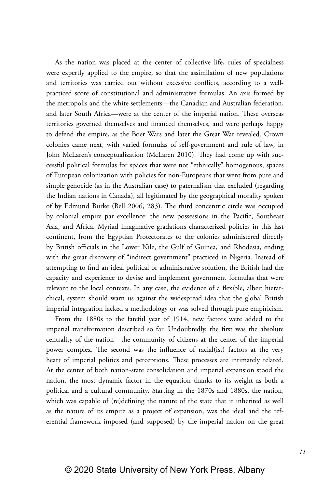As the nation was placed at the center of collective life, rules of specialness were expertly applied to the empire, so that the assimilation of new populations and territories was carried out without excessive conflicts, according to a wellpracticed score of constitutional and administrative formulas. An axis formed by the metropolis and the white settlements—the Canadian and Australian federation, and later South Africa—were at the center of the imperial nation. These overseas territories governed themselves and financed themselves, and were perhaps happy to defend the empire, as the Boer Wars and later the Great War revealed. Crown colonies came next, with varied formulas of self-government and rule of law, in John McLaren's conceptualization (McLaren 2010). They had come up with successful political formulas for spaces that were not "ethnically" homogenous, spaces of European colonization with policies for non-Europeans that went from pure and simple genocide (as in the Australian case) to paternalism that excluded (regarding the Indian nations in Canada), all legitimated by the geographical morality spoken of by Edmund Burke (Bell 2006, 283). The third concentric circle was occupied by colonial empire par excellence: the new possessions in the Pacific, Southeast Asia, and Africa. Myriad imaginative gradations characterized policies in this last continent, from the Egyptian Protectorates to the colonies administered directly by British officials in the Lower Nile, the Gulf of Guinea, and Rhodesia, ending with the great discovery of "indirect government" practiced in Nigeria. Instead of attempting to find an ideal political or administrative solution, the British had the capacity and experience to devise and implement government formulas that were relevant to the local contexts. In any case, the evidence of a flexible, albeit hierarchical, system should warn us against the widespread idea that the global British imperial integration lacked a methodology or was solved through pure empiricism.

From the 1880s to the fateful year of 1914, new factors were added to the imperial transformation described so far. Undoubtedly, the first was the absolute centrality of the nation—the community of citizens at the center of the imperial power complex. The second was the influence of racial(ist) factors at the very heart of imperial politics and perceptions. These processes are intimately related. At the center of both nation-state consolidation and imperial expansion stood the nation, the most dynamic factor in the equation thanks to its weight as both a political and a cultural community. Starting in the 1870s and 1880s, the nation, which was capable of (re)defining the nature of the state that it inherited as well as the nature of its empire as a project of expansion, was the ideal and the referential framework imposed (and supposed) by the imperial nation on the great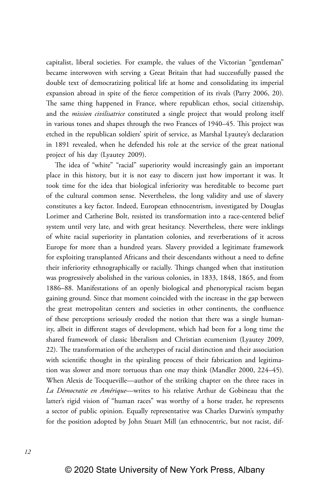capitalist, liberal societies. For example, the values of the Victorian "gentleman" became interwoven with serving a Great Britain that had successfully passed the double text of democratizing political life at home and consolidating its imperial expansion abroad in spite of the fierce competition of its rivals (Parry 2006, 20). The same thing happened in France, where republican ethos, social citizenship, and the *mission civilisatrice* constituted a single project that would prolong itself in various tones and shapes through the two Frances of 1940–45. This project was etched in the republican soldiers' spirit of service, as Marshal Lyautey's declaration in 1891 revealed, when he defended his role at the service of the great national project of his day (Lyautey 2009).

The idea of "white" "racial" superiority would increasingly gain an important place in this history, but it is not easy to discern just how important it was. It took time for the idea that biological inferiority was hereditable to become part of the cultural common sense. Nevertheless, the long validity and use of slavery constitutes a key factor. Indeed, European ethnocentrism, investigated by Douglas Lorimer and Catherine Bolt, resisted its transformation into a race-centered belief system until very late, and with great hesitancy. Nevertheless, there were inklings of white racial superiority in plantation colonies, and reverberations of it across Europe for more than a hundred years. Slavery provided a legitimate framework for exploiting transplanted Africans and their descendants without a need to define their inferiority ethnographically or racially. Things changed when that institution was progressively abolished in the various colonies, in 1833, 1848, 1865, and from 1886–88. Manifestations of an openly biological and phenotypical racism began gaining ground. Since that moment coincided with the increase in the gap between the great metropolitan centers and societies in other continents, the confluence of these perceptions seriously eroded the notion that there was a single humanity, albeit in different stages of development, which had been for a long time the shared framework of classic liberalism and Christian ecumenism (Lyautey 2009, 22). The transformation of the archetypes of racial distinction and their association with scientific thought in the spiraling process of their fabrication and legitimation was slower and more tortuous than one may think (Mandler 2000, 224–45). When Alexis de Tocqueville—author of the striking chapter on the three races in *La Démocratie en Amérique*—writes to his relative Arthur de Gobineau that the latter's rigid vision of "human races" was worthy of a horse trader, he represents a sector of public opinion. Equally representative was Charles Darwin's sympathy for the position adopted by John Stuart Mill (an ethnocentric, but not racist, dif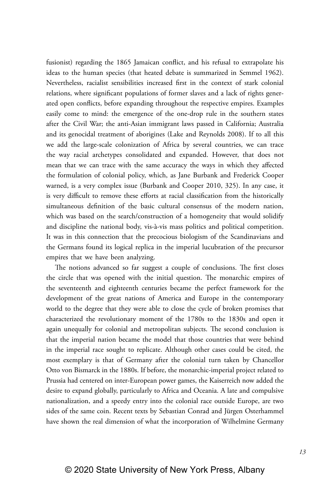fusionist) regarding the 1865 Jamaican conflict, and his refusal to extrapolate his ideas to the human species (that heated debate is summarized in Semmel 1962). Nevertheless, racialist sensibilities increased first in the context of stark colonial relations, where significant populations of former slaves and a lack of rights generated open conflicts, before expanding throughout the respective empires. Examples easily come to mind: the emergence of the one-drop rule in the southern states after the Civil War; the anti-Asian immigrant laws passed in California; Australia and its genocidal treatment of aborigines (Lake and Reynolds 2008). If to all this we add the large-scale colonization of Africa by several countries, we can trace the way racial archetypes consolidated and expanded. However, that does not mean that we can trace with the same accuracy the ways in which they affected the formulation of colonial policy, which, as Jane Burbank and Frederick Cooper warned, is a very complex issue (Burbank and Cooper 2010, 325). In any case, it is very difficult to remove these efforts at racial classification from the historically simultaneous definition of the basic cultural consensus of the modern nation, which was based on the search/construction of a homogeneity that would solidify and discipline the national body, vis-à-vis mass politics and political competition. It was in this connection that the precocious biologism of the Scandinavians and the Germans found its logical replica in the imperial lucubration of the precursor empires that we have been analyzing.

The notions advanced so far suggest a couple of conclusions. The first closes the circle that was opened with the initial question. The monarchic empires of the seventeenth and eighteenth centuries became the perfect framework for the development of the great nations of America and Europe in the contemporary world to the degree that they were able to close the cycle of broken promises that characterized the revolutionary moment of the 1780s to the 1830s and open it again unequally for colonial and metropolitan subjects. The second conclusion is that the imperial nation became the model that those countries that were behind in the imperial race sought to replicate. Although other cases could be cited, the most exemplary is that of Germany after the colonial turn taken by Chancellor Otto von Bismarck in the 1880s. If before, the monarchic-imperial project related to Prussia had centered on inter-European power games, the Kaiserreich now added the desire to expand globally, particularly to Africa and Oceania. A late and compulsive nationalization, and a speedy entry into the colonial race outside Europe, are two sides of the same coin. Recent texts by Sebastian Conrad and Jürgen Osterhammel have shown the real dimension of what the incorporation of Wilhelmine Germany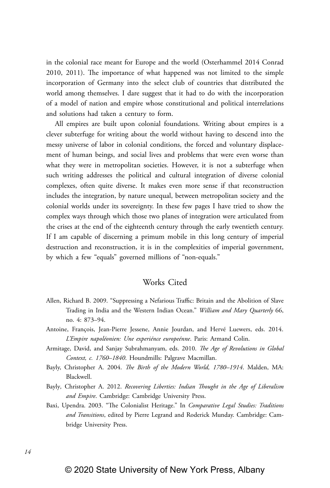in the colonial race meant for Europe and the world (Osterhammel 2014 Conrad 2010, 2011). The importance of what happened was not limited to the simple incorporation of Germany into the select club of countries that distributed the world among themselves. I dare suggest that it had to do with the incorporation of a model of nation and empire whose constitutional and political interrelations and solutions had taken a century to form.

All empires are built upon colonial foundations. Writing about empires is a clever subterfuge for writing about the world without having to descend into the messy universe of labor in colonial conditions, the forced and voluntary displacement of human beings, and social lives and problems that were even worse than what they were in metropolitan societies. However, it is not a subterfuge when such writing addresses the political and cultural integration of diverse colonial complexes, often quite diverse. It makes even more sense if that reconstruction includes the integration, by nature unequal, between metropolitan society and the colonial worlds under its sovereignty. In these few pages I have tried to show the complex ways through which those two planes of integration were articulated from the crises at the end of the eighteenth century through the early twentieth century. If I am capable of discerning a primum mobile in this long century of imperial destruction and reconstruction, it is in the complexities of imperial government, by which a few "equals" governed millions of "non-equals."

## Works Cited

- Allen, Richard B. 2009. "Suppressing a Nefarious Traffic: Britain and the Abolition of Slave Trading in India and the Western Indian Ocean." *William and Mary Quarterly* 66, no. 4: 873–94.
- Antoine, François, Jean-Pierre Jessene, Annie Jourdan, and Hervé Luewers, eds. 2014. *L'Empire napoléonien: Une experiénce europeénne*. Paris: Armand Colin.
- Armitage, David, and Sanjay Subrahmanyam, eds. 2010. *The Age of Revolutions in Global Context, c. 1760–1840*. Houndmills: Palgrave Macmillan.
- Bayly, Christopher A. 2004. *The Birth of the Modern World, 1780–1914*. Malden, MA: Blackwell.
- Bayly*,* Christopher A. 2012. *Recovering Liberties: Indian Thought in the Age of Liberalism and Empire*. Cambridge: Cambridge University Press.
- Baxi, Upendra. 2003. "The Colonialist Heritage." In *Comparative Legal Studies: Traditions and Transitions*, edited by Pierre Legrand and Roderick Munday. Cambridge: Cambridge University Press.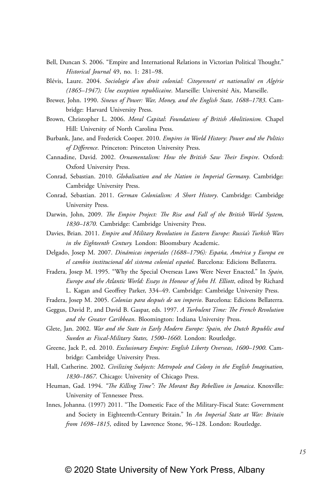- Bell, Duncan S. 2006. "Empire and International Relations in Victorian Political Thought." *Historical Journal* 49, no. 1: 281–98.
- Blévis, Laure. 2004. *Sociologie d'un droit colonial: Citoyenneté et nationalité en Algérie (1865–1947); Une exception republicaine*. Marseille: Université Aix, Marseille.
- Brewer, John. 1990. *Sinews of Power: War, Money, and the English State, 1688–1783*. Cambridge: Harvard University Press.
- Brown, Christopher L. 2006. *Moral Capital*: *Foundations of British Abolitionism.* Chapel Hill: University of North Carolina Press.
- Burbank, Jane, and Frederick Cooper. 2010. *Empires in World History: Power and the Politics of Difference*. Princeton: Princeton University Press.
- Cannadine, David. 2002. *Ornamentalism: How the British Saw Their Empire*. Oxford: Oxford University Press.
- Conrad, Sebastian. 2010. *Globalisation and the Nation in Imperial Germany*. Cambridge: Cambridge University Press.
- Conrad, Sebastian. 2011. *German Colonialism: A Short History*. Cambridge: Cambridge University Press.
- Darwin, John, 2009. *The Empire Project: The Rise and Fall of the British World System, 1830–1870*. Cambridge: Cambridge University Press.
- Davies, Brian. 2011. *Empire and Military Revolution in Eastern Europe: Russia's Turkish Wars in the Eighteenth Century.* London: Bloomsbury Academic.
- Delgado, Josep M. 2007. *Dinámicas imperiales (1688–1796): España, América y Europa en el cambio institucional del sistema colonial español*. Barcelona: Edicions Bellaterra.
- Fradera, Josep M. 1995. "Why the Special Overseas Laws Were Never Enacted." In *Spain, Europe and the Atlantic World: Essays in Honour of John H. Elliott*, edited by Richard L. Kagan and Geoffrey Parker, 334–49. Cambridge: Cambridge University Press.
- Fradera, Josep M. 2005. *Colonias para después de un imperio*. Barcelona: Edicions Bellaterra.
- Geggus, David P., and David B. Gaspar, eds. 1997. *A Turbulent Time: The French Revolution and the Greater Caribbean*. Bloomington: Indiana University Press.
- Glete, Jan. 2002. *War and the State in Early Modern Europe: Spain, the Dutch Republic and Sweden as Fiscal-Military States, 1500–1660*. London: Routledge.
- Greene, Jack P., ed. 2010. *Exclusionary Empire: English Liberty Overseas, 1600–1900*. Cambridge: Cambridge University Press.
- Hall, Catherine. 2002. *Civilizing Subjects: Metropole and Colony in the English Imagination, 1830–1867*. Chicago: University of Chicago Press.
- Heuman, Gad. 1994. *"The Killing Time": The Morant Bay Rebellion in Jamaica*. Knoxville: University of Tennessee Press.
- Innes, Johanna. (1997) 2011. "The Domestic Face of the Military-Fiscal State: Government and Society in Eighteenth-Century Britain." In *An Imperial State at War: Britain from 1698*–*1815*, edited by Lawrence Stone, 96–128. London: Routledge.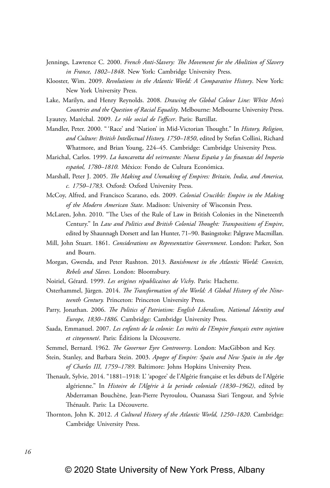- Jennings*,* Lawrence C. 2000. *French Anti-Slavery: The Movement for the Abolition of Slavery in France, 1802–1848*. New York: Cambridge University Press.
- Klooster, Wim. 2009. *Revolutions in the Atlantic World: A Comparative History*. New York: New York University Press.
- Lake, Marilyn, and Henry Reynolds. 2008. *Drawing the Global Colour Line: White Men's Countries and the Question of Racial Equality*. Melbourne: Melbourne University Press. Lyautey, Maréchal. 2009. *Le rôle social de l'officer*. Paris: Bartillat.
- Mandler, Peter. 2000. " 'Race' and 'Nation' in Mid-Victorian Thought." In *History, Religion, and Culture: British Intellectual History, 1750–1850*, edited by Stefan Collini, Richard Whatmore, and Brian Young, 224–45. Cambridge: Cambridge University Press.
- Marichal, Carlos. 1999. *La bancarotta del veirreanto: Nueva España y las finanzas del Imperio español, 1780–1810.* México: Fondo de Cultura Económica.
- Marshall, Peter J. 2005. *The Making and Unmaking of Empires: Britain, India, and America, c. 1750–1783*. Oxford: Oxford University Press.
- McCoy, Alfred, and Francisco Scarano, eds. 2009. *Colonial Crucible: Empire in the Making of the Modern American State*. Madison: University of Wisconsin Press.
- McLaren, John. 2010. "The Uses of the Rule of Law in British Colonies in the Nineteenth Century." In *Law and Politics and British Colonial Thought: Transpositions of Empire*, edited by Shaunnagh Dorsett and Ian Hunter, 71–90. Basingstoke: Palgrave Macmillan.
- Mill, John Stuart. 1861. *Considerations on Representative Government*. London: Parker, Son and Bourn.
- Morgan, Gwenda, and Peter Rushton. 2013. *Banishment in the Atlantic World: Convicts, Rebels and Slaves*. London: Bloomsbury.
- Noiriel, Gérard. 1999. *Les origines républicaines de Vichy*. Paris: Hachette.
- Osterhammel, Jürgen. 2014. *The Transformation of the World: A Global History of the Nineteenth Century.* Princeton: Princeton University Press.
- Parry, Jonathan. 2006. *The Politics of Patriotism: English Liberalism, National Identity and Europe, 1830–1886*. Cambridge: Cambridge University Press.
- Saada, Emmanuel. 2007. *Les enfants de la colonie: Les métis de l'Empire français entre sujetion et citoyenneté*. Paris: Éditions la Découverte.
- Semmel, Bernard. 1962. *The Governor Eyre Controversy*. London: MacGibbon and Key.
- Stein, Stanley, and Barbara Stein. 2003. *Apogee of Empire: Spain and New Spain in the Age of Charles III, 1759–1789*. Baltimore: Johns Hopkins University Press.
- Thenault, Sylvie, 2014. "1881–1918: L' 'apogee' de l'Algérie française et les débuts de l'Algérie algérienne." In *Histoire de l'Algérie à la periode coloniale (1830–1962)*, edited by Abderraman Bouchène, Jean-Pierre Peyroulou, Ouanassa Siari Tengour, and Sylvie Thénault. Paris: La Découverte.
- Thornton, John K. 2012. *A Cultural History of the Atlantic World, 1250–1820*. Cambridge: Cambridge University Press.